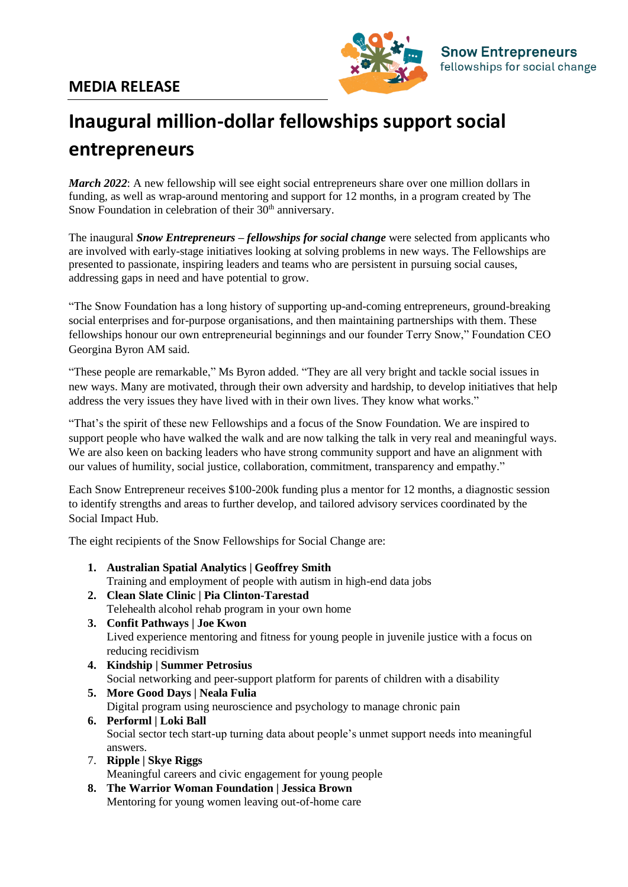

## **Inaugural million-dollar fellowships support social entrepreneurs**

*March 2022*: A new fellowship will see eight social entrepreneurs share over one million dollars in funding, as well as wrap-around mentoring and support for 12 months, in a program created by The Snow Foundation in celebration of their 30<sup>th</sup> anniversary.

The inaugural *Snow Entrepreneurs – fellowships for social change* were selected from applicants who are involved with early-stage initiatives looking at solving problems in new ways. The Fellowships are presented to passionate, inspiring leaders and teams who are persistent in pursuing social causes, addressing gaps in need and have potential to grow.

"The Snow Foundation has a long history of supporting up-and-coming entrepreneurs, ground-breaking social enterprises and for-purpose organisations, and then maintaining partnerships with them. These fellowships honour our own entrepreneurial beginnings and our founder Terry Snow," Foundation CEO Georgina Byron AM said.

"These people are remarkable," Ms Byron added. "They are all very bright and tackle social issues in new ways. Many are motivated, through their own adversity and hardship, to develop initiatives that help address the very issues they have lived with in their own lives. They know what works."

"That's the spirit of these new Fellowships and a focus of the Snow Foundation. We are inspired to support people who have walked the walk and are now talking the talk in very real and meaningful ways. We are also keen on backing leaders who have strong community support and have an alignment with our values of humility, social justice, collaboration, commitment, transparency and empathy."

Each Snow Entrepreneur receives \$100-200k funding plus a mentor for 12 months, a diagnostic session to identify strengths and areas to further develop, and tailored advisory services coordinated by the Social Impact Hub.

The eight recipients of the Snow Fellowships for Social Change are:

- **1. Australian Spatial Analytics | Geoffrey Smith**  Training and employment of people with autism in high-end data jobs
- **2. Clean Slate Clinic | Pia Clinton-Tarestad**  Telehealth alcohol rehab program in your own home
- **3. Confit Pathways | Joe Kwon**  Lived experience mentoring and fitness for young people in juvenile justice with a focus on reducing recidivism
- **4. Kindship | Summer Petrosius** Social networking and peer-support platform for parents of children with a disability

**5. More Good Days | Neala Fulia**  Digital program using neuroscience and psychology to manage chronic pain **6. Performl | Loki Ball** 

- Social sector tech start-up turning data about people's unmet support needs into meaningful answers.
- 7. **Ripple | Skye Riggs** Meaningful careers and civic engagement for young people
- **8. The Warrior Woman Foundation | Jessica Brown**  Mentoring for young women leaving out-of-home care